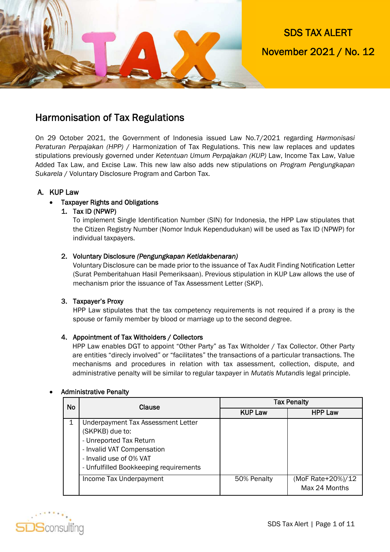

### Harmonisation of Tax Regulations

On 29 October 2021, the Government of Indonesia issued Law No.7/2021 regarding *Harmonisasi Peraturan Perpajakan (HPP)* / Harmonization of Tax Regulations. This new law replaces and updates stipulations previously governed under *Ketentuan Umum Perpajakan (KUP)* Law, Income Tax Law, Value Added Tax Law, and Excise Law. This new law also adds new stipulations on *Program Pengungkapan Sukarela* / Voluntary Disclosure Program and Carbon Tax.

#### A. KUP Law

#### Taxpayer Rights and Obligations

#### 1. Tax ID (NPWP)

To implement Single Identification Number (SIN) for Indonesia, the HPP Law stipulates that the Citizen Registry Number (Nomor Induk Kependudukan) will be used as Tax ID (NPWP) for individual taxpayers.

#### 2. Voluntary Disclosure *(Pengungkapan Ketidakbenaran)*

Voluntary Disclosure can be made prior to the issuance of Tax Audit Finding Notification Letter (Surat Pemberitahuan Hasil Pemeriksaan). Previous stipulation in KUP Law allows the use of mechanism prior the issuance of Tax Assessment Letter (SKP).

#### 3. Taxpayer's Proxy

HPP Law stipulates that the tax competency requirements is not required if a proxy is the spouse or family member by blood or marriage up to the second degree.

#### 4. Appointment of Tax Witholders / Collectors

HPP Law enables DGT to appoint "Other Party" as Tax Witholder / Tax Collector. Other Party are entities "direcly involved" or "facilitates" the transactions of a particular transactions. The mechanisms and procedures in relation with tax assessment, collection, dispute, and administrative penalty will be similar to regular taxpayer in *Mutatis Mutandis* legal principle.

#### Administrative Penalty

| <b>No</b> | <b>Clause</b>                                                                                                                                                                       | <b>Tax Penalty</b> |                                    |  |
|-----------|-------------------------------------------------------------------------------------------------------------------------------------------------------------------------------------|--------------------|------------------------------------|--|
|           |                                                                                                                                                                                     | <b>KUP Law</b>     | <b>HPP Law</b>                     |  |
|           | Underpayment Tax Assessment Letter<br>(SKPKB) due to:<br>- Unreported Tax Return<br>- Invalid VAT Compensation<br>- Invalid use of 0% VAT<br>- Unfulfilled Bookkeeping requirements |                    |                                    |  |
|           | Income Tax Underpayment                                                                                                                                                             | 50% Penalty        | (MoF Rate+20%)/12<br>Max 24 Months |  |

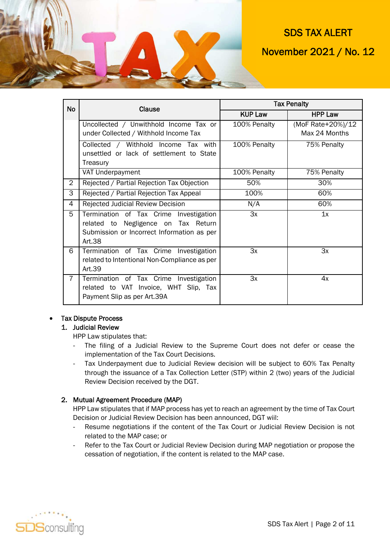

| <b>No</b>      | Clause                                       | <b>Tax Penalty</b> |                   |  |
|----------------|----------------------------------------------|--------------------|-------------------|--|
|                |                                              | <b>KUP Law</b>     | <b>HPP Law</b>    |  |
|                | Uncollected / Unwithhold Income Tax or       | 100% Penalty       | (MoF Rate+20%)/12 |  |
|                | under Collected / Withhold Income Tax        |                    | Max 24 Months     |  |
|                | Collected / Withhold Income Tax with         | 100% Penalty       | 75% Penalty       |  |
|                | unsettled or lack of settlement to State     |                    |                   |  |
|                | Treasury                                     |                    |                   |  |
|                | VAT Underpayment                             | 100% Penalty       | 75% Penalty       |  |
| $\overline{2}$ | Rejected / Partial Rejection Tax Objection   | 50%                | 30%               |  |
| 3              | Rejected / Partial Rejection Tax Appeal      | 100%               | 60%               |  |
| 4              | Rejected Judicial Review Decision            | N/A                | 60%               |  |
| 5              | Termination of Tax Crime Investigation       | 3x                 | 1x                |  |
|                | related to Negligence on Tax Return          |                    |                   |  |
|                | Submission or Incorrect Information as per   |                    |                   |  |
|                | Art.38                                       |                    |                   |  |
| 6              | Termination of Tax Crime Investigation       | 3x                 | 3x                |  |
|                | related to Intentional Non-Compliance as per |                    |                   |  |
|                | Art.39                                       |                    |                   |  |
| $\overline{7}$ | Termination of Tax Crime Investigation       | 3x                 | 4x                |  |
|                | related to VAT Invoice, WHT Slip, Tax        |                    |                   |  |
|                | Payment Slip as per Art.39A                  |                    |                   |  |

#### Tax Dispute Process

#### 1. Judicial Review

HPP Law stipulates that:

- The filing of a Judicial Review to the Supreme Court does not defer or cease the implementation of the Tax Court Decisions.
- Tax Underpayment due to Judicial Review decision will be subject to 60% Tax Penalty through the issuance of a Tax Collection Letter (STP) within 2 (two) years of the Judicial Review Decision received by the DGT.

#### 2. Mutual Agreement Procedure (MAP)

HPP Law stipulates that if MAP process has yet to reach an agreement by the time of Tax Court Decision or Judicial Review Decision has been announced, DGT wiil:

- Resume negotiations if the content of the Tax Court or Judicial Review Decision is not related to the MAP case; or
- Refer to the Tax Court or Judicial Review Decision during MAP negotiation or propose the cessation of negotiation, if the content is related to the MAP case.

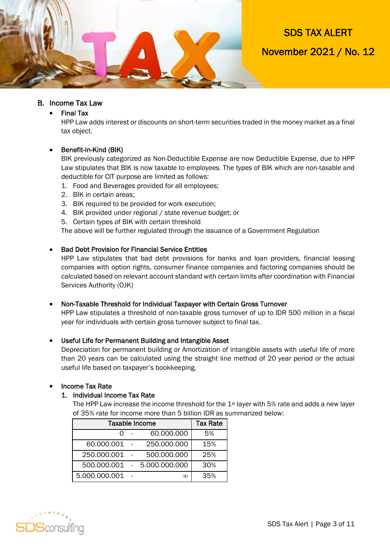

#### B. Income Tax Law

Final Tax

HPP Law adds interest or discounts on short-term securities traded in the money market as a final tax object.

#### • Benefit-In-Kind (BIK)

BIK previously categorized as Non-Deductible Expense are now Deductible Expense, due to HPP Law stipulates that BIK is now taxable to employees. The types of BIK which are non-taxable and deductible for CIT purpose are limited as follows:

- 1. Food and Beverages provided for all employees;
- 2. BIK in certain areas;
- 3. BIK required to be provided for work execution;
- 4. BIK provided under regional / state revenue budget; or
- 5. Certain types of BIK with certain threshold

The above will be further regulated through the issuance of a Government Regulation

#### **• Bad Debt Provision for Financial Service Entities**

HPP Law stipulates that bad debt provisions for banks and loan providers, financial leasing companies with option rights, consumer finance companies and factoring companies should be calculated based on relevant account standard with certain limits after coordination with Financial Services Authority (OJK)

#### Non-Taxable Threshold for Individual Taxpayer with Certain Gross Turnover

HPP Law stipulates a threshold of non-taxable gross turnover of up to IDR 500 million in a fiscal year for individuals with certain gross turnover subject to final tax.

#### Useful Life for Permanent Building and Intangible Asset

Depreciation for permanent building or Amortization of intangible assets with useful life of more than 20 years can be calculated using the straight line method of 20 year period or the actual useful life based on taxpayer's bookkeeping.

#### Income Tax Rate

#### 1. Individual Income Tax Rate

The HPP Law increase the income threshold for the 1<sup>st</sup> layer with 5% rate and adds a new layer of 35% rate for income more than 5 billion IDR as summarized below:

| <b>Taxable Income</b>           | <b>Tax Rate</b> |
|---------------------------------|-----------------|
| 60.000.000                      | 5%              |
| 60.000.001<br>250.000.000       | 15%             |
| 500.000.000<br>250.000.001      | 25%             |
| 500.000.001<br>$-5.000.000.000$ | 30%             |
| 5.000.000.001<br>$\infty$       | 35%             |

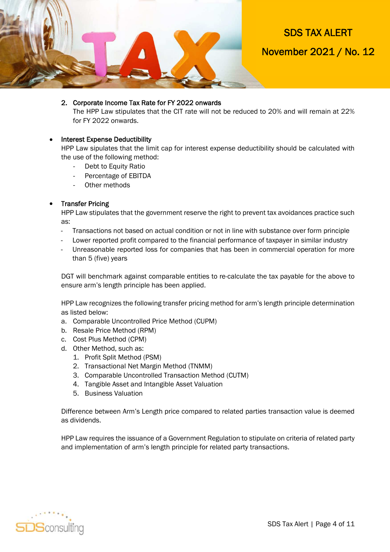

#### 2. Corporate Income Tax Rate for FY 2022 onwards

The HPP Law stipulates that the CIT rate will not be reduced to 20% and will remain at 22% for FY 2022 onwards.

#### • Interest Expense Deductibility

HPP Law sipulates that the limit cap for interest expense deductibility should be calculated with the use of the following method:

- Debt to Equity Ratio
- Percentage of EBITDA
- Other methods

#### • Transfer Pricing

HPP Law stipulates that the government reserve the right to prevent tax avoidances practice such as:

- Transactions not based on actual condition or not in line with substance over form principle
- Lower reported profit compared to the financial performance of taxpayer in similar industry
- Unreasonable reported loss for companies that has been in commercial operation for more than 5 (five) years

DGT will benchmark against comparable entities to re-calculate the tax payable for the above to ensure arm's length principle has been applied.

HPP Law recognizes the following transfer pricing method for arm's length principle determination as listed below:

- a. Comparable Uncontrolled Price Method (CUPM)
- b. Resale Price Method (RPM)
- c. Cost Plus Method (CPM)
- d. Other Method, such as:
	- 1. Profit Split Method (PSM)
	- 2. Transactional Net Margin Method (TNMM)
	- 3. Comparable Uncontrolled Transaction Method (CUTM)
	- 4. Tangible Asset and Intangible Asset Valuation
	- 5. Business Valuation

Difference between Arm's Length price compared to related parties transaction value is deemed as dividends.

HPP Law requires the issuance of a Government Regulation to stipulate on criteria of related party and implementation of arm's length principle for related party transactions.

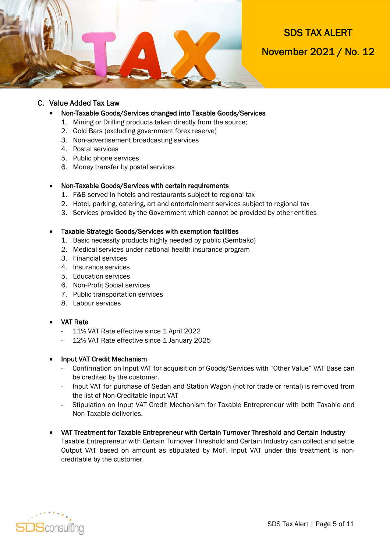

#### C. Value Added Tax Law

#### Non-Taxable Goods/Services changed into Taxable Goods/Services

- 1. Mining or Drilling products taken directly from the source;
- 2. Gold Bars (excluding government forex reserve)
- 3. Non-advertisement broadcasting services
- 4. Postal services
- 5. Public phone services
- 6. Money transfer by postal services

#### Non-Taxable Goods/Services with certain requirements

- 1. F&B served in hotels and restaurants subject to regional tax
- 2. Hotel, parking, catering, art and entertainment services subject to regional tax
- 3. Services provided by the Government which cannot be provided by other entities

#### Taxable Strategic Goods/Services with exemption facilities

- 1. Basic necessity products highly needed by public (Sembako)
- 2. Medical services under national health insurance program
- 3. Financial services
- 4. Insurance services
- 5. Education services
- 6. Non-Profit Social services
- 7. Public transportation services
- 8. Labour services
- VAT Rate
	- 11% VAT Rate effective since 1 April 2022
	- 12% VAT Rate effective since 1 January 2025

#### Input VAT Credit Mechanism

- Confirmation on Input VAT for acquisition of Goods/Services with "Other Value" VAT Base can be credited by the customer.
- Input VAT for purchase of Sedan and Station Wagon (not for trade or rental) is removed from the list of Non-Creditable Input VAT
- Stipulation on Input VAT Credit Mechanism for Taxable Entrepreneur with both Taxable and Non-Taxable deliveries.
- VAT Treatment for Taxable Entrepreneur with Certain Turnover Threshold and Certain Industry Taxable Entrepreneur with Certain Turnover Threshold and Certain Industry can collect and settle

Output VAT based on amount as stipulated by MoF. Input VAT under this treatment is noncreditable by the customer.

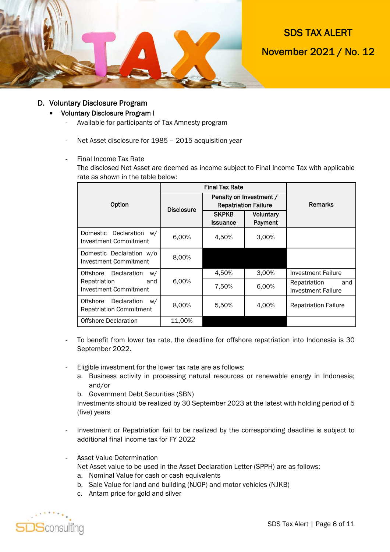

#### D. Voluntary Disclosure Program

#### Voluntary Disclosure Program I

- Available for participants of Tax Amnesty program
- Net Asset disclosure for 1985 2015 acquisition year
- Final Income Tax Rate

The disclosed Net Asset are deemed as income subject to Final Income Tax with applicable rate as shown in the table below:

|                                                              | <b>Final Tax Rate</b> |                                                        |                      |                                                  |
|--------------------------------------------------------------|-----------------------|--------------------------------------------------------|----------------------|--------------------------------------------------|
| Option                                                       | <b>Disclosure</b>     | Penalty on Investment /<br><b>Repatriation Failure</b> |                      | Remarks                                          |
|                                                              |                       | <b>SKPKB</b><br><b>Issuance</b>                        | Voluntary<br>Payment |                                                  |
| Domestic Declaration<br>W/<br>Investment Commitment          | 6,00%                 | 4,50%                                                  | 3,00%                |                                                  |
| Domestic Declaration w/o<br><b>Investment Commitment</b>     | 8,00%                 |                                                        |                      |                                                  |
| Offshore Declaration<br>W/                                   |                       | 4,50%                                                  | 3.00%                | Investment Failure                               |
| Repatriation<br>and<br>Investment Commitment                 | 6.00%                 | 7,50%                                                  | 6,00%                | Repatriation<br>and<br><b>Investment Failure</b> |
| Offshore Declaration<br>W/<br><b>Repatriation Commitment</b> | 8,00%                 | 5,50%                                                  | 4,00%                | <b>Repatriation Failure</b>                      |
| <b>Offshore Declaration</b>                                  | 11,00%                |                                                        |                      |                                                  |

- To benefit from lower tax rate, the deadline for offshore repatriation into Indonesia is 30 September 2022.
- Eligible investment for the lower tax rate are as follows:
	- a. Business activity in processing natural resources or renewable energy in Indonesia; and/or
	- b. Government Debt Securities (SBN)

Investments should be realized by 30 September 2023 at the latest with holding period of 5 (five) years

- Investment or Repatriation fail to be realized by the corresponding deadline is subject to additional final income tax for FY 2022
- Asset Value Determination

Net Asset value to be used in the Asset Declaration Letter (SPPH) are as follows:

- a. Nominal Value for cash or cash equivalents
- b. Sale Value for land and building (NJOP) and motor vehicles (NJKB)
- c. Antam price for gold and silver

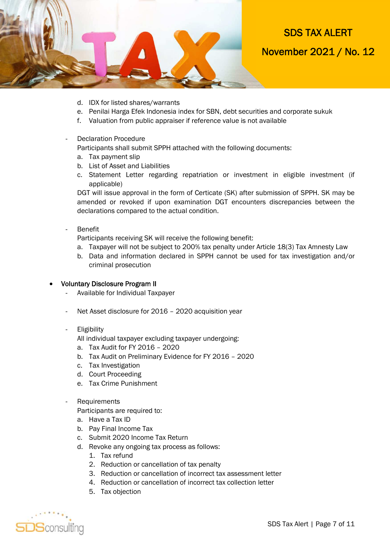

- d. IDX for listed shares/warrants
- e. Penilai Harga Efek Indonesia index for SBN, debt securities and corporate sukuk
- f. Valuation from public appraiser if reference value is not available
- Declaration Procedure

Participants shall submit SPPH attached with the following documents:

- a. Tax payment slip
- b. List of Asset and Liabilities
- c. Statement Letter regarding repatriation or investment in eligible investment (if applicable)

DGT will issue approval in the form of Certicate (SK) after submission of SPPH. SK may be amended or revoked if upon examination DGT encounters discrepancies between the declarations compared to the actual condition.

- Benefit

Participants receiving SK will receive the following benefit:

- a. Taxpayer will not be subject to 200% tax penalty under Article 18(3) Tax Amnesty Law
- b. Data and information declared in SPPH cannot be used for tax investigation and/or criminal prosecution

#### Voluntary Disclosure Program II

- Available for Individual Taxpayer
- Net Asset disclosure for 2016 2020 acquisition year
- **Eligibility**

All individual taxpayer excluding taxpayer undergoing:

- a. Tax Audit for FY 2016 2020
- b. Tax Audit on Preliminary Evidence for FY 2016 2020
- c. Tax Investigation
- d. Court Proceeding
- e. Tax Crime Punishment
- **Requirements**

Participants are required to:

- a. Have a Tax ID
- b. Pay Final Income Tax
- c. Submit 2020 Income Tax Return
- d. Revoke any ongoing tax process as follows:
	- 1. Tax refund
	- 2. Reduction or cancellation of tax penalty
	- 3. Reduction or cancellation of incorrect tax assessment letter
	- 4. Reduction or cancellation of incorrect tax collection letter
	- 5. Tax objection

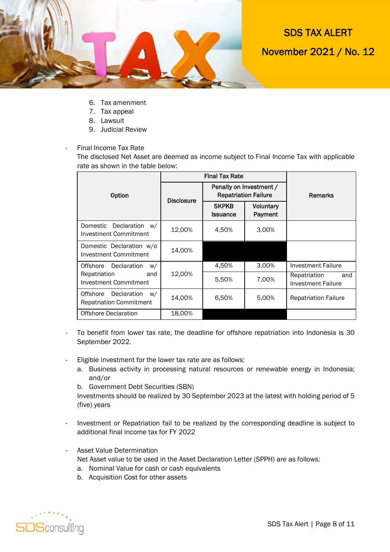

- 6. Tax amenment
- 7. Tax appeal
- 8. Lawsuit
- 9. Judicial Review
- Final Income Tax Rate

The disclosed Net Asset are deemed as income subject to Final Income Tax with applicable rate as shown in the table below:

|                                                                 | <b>Final Tax Rate</b> |                                                        |                             |                                           |
|-----------------------------------------------------------------|-----------------------|--------------------------------------------------------|-----------------------------|-------------------------------------------|
| Option                                                          | <b>Disclosure</b>     | Penalty on Investment /<br><b>Repatriation Failure</b> |                             | <b>Remarks</b>                            |
|                                                                 |                       | <b>SKPKB</b><br><b>Issuance</b>                        | <b>Voluntary</b><br>Payment |                                           |
| Domestic<br>Declaration<br>W/<br>Investment Commitment          | 12,00%                | 4,50%                                                  | 3,00%                       |                                           |
| Domestic Declaration w/o<br>Investment Commitment               | 14.00%                |                                                        |                             |                                           |
| Declaration<br>Offshore<br>W/                                   |                       | 4,50%                                                  | 3,00%                       | Investment Failure                        |
| Repatriation<br>and<br>Investment Commitment                    | 12,00%                | 5,50%                                                  | 7,00%                       | Repatriation<br>and<br>Investment Failure |
| Declaration<br>Offshore<br>W/<br><b>Repatriation Commitment</b> | 14,00%                | 6,50%                                                  | 5,00%                       | <b>Repatriation Failure</b>               |
| <b>Offshore Declaration</b>                                     | 18,00%                |                                                        |                             |                                           |

- To benefit from lower tax rate, the deadline for offshore repatriation into Indonesia is 30 September 2022.
- Eligible investment for the lower tax rate are as follows:
	- a. Business activity in processing natural resources or renewable energy in Indonesia; and/or
	- b. Government Debt Securities (SBN)

Investments should be realized by 30 September 2023 at the latest with holding period of 5 (five) years

- Investment or Repatriation fail to be realized by the corresponding deadline is subject to additional final income tax for FY 2022
- Asset Value Determination

Net Asset value to be used in the Asset Declaration Letter (SPPH) are as follows:

- a. Nominal Value for cash or cash equivalents
- b. Acquisition Cost for other assets

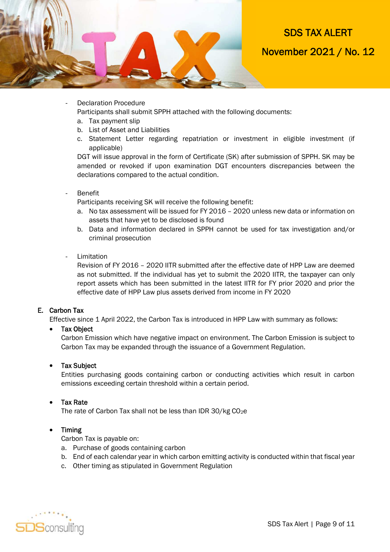

Declaration Procedure

Participants shall submit SPPH attached with the following documents:

- a. Tax payment slip
- b. List of Asset and Liabilities
- c. Statement Letter regarding repatriation or investment in eligible investment (if applicable)

DGT will issue approval in the form of Certificate (SK) after submission of SPPH. SK may be amended or revoked if upon examination DGT encounters discrepancies between the declarations compared to the actual condition.

**Benefit** 

Participants receiving SK will receive the following benefit:

- a. No tax assessment will be issued for FY 2016 2020 unless new data or information on assets that have yet to be disclosed is found
- b. Data and information declared in SPPH cannot be used for tax investigation and/or criminal prosecution
- Limitation

Revision of FY 2016 – 2020 IITR submitted after the effective date of HPP Law are deemed as not submitted. If the individual has yet to submit the 2020 IITR, the taxpayer can only report assets which has been submitted in the latest IITR for FY prior 2020 and prior the effective date of HPP Law plus assets derived from income in FY 2020

#### E. Carbon Tax

Effective since 1 April 2022, the Carbon Tax is introduced in HPP Law with summary as follows:

#### • Tax Object

Carbon Emission which have negative impact on environment. The Carbon Emission is subject to Carbon Tax may be expanded through the issuance of a Government Regulation.

#### • Tax Subject

Entities purchasing goods containing carbon or conducting activities which result in carbon emissions exceeding certain threshold within a certain period.

#### Tax Rate

The rate of Carbon Tax shall not be less than IDR 30/kg CO<sub>2</sub>e

#### • Timing

Carbon Tax is payable on:

- a. Purchase of goods containing carbon
- b. End of each calendar year in which carbon emitting activity is conducted within that fiscal year
- c. Other timing as stipulated in Government Regulation

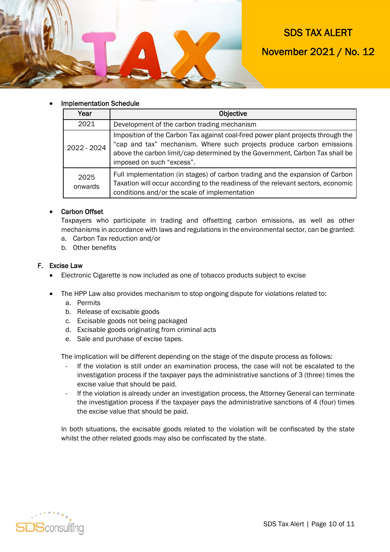

### SDS TAX ALERT

November 2021 / No. 12

#### Implementation Schedule

| Year            | <b>Objective</b>                                                                                                                                                                                                                                                       |  |
|-----------------|------------------------------------------------------------------------------------------------------------------------------------------------------------------------------------------------------------------------------------------------------------------------|--|
| 2021            | Development of the carbon trading mechanism                                                                                                                                                                                                                            |  |
| 2022 - 2024     | Imposition of the Carbon Tax against coal-fired power plant projects through the<br>"cap and tax" mechanism. Where such projects produce carbon emissions<br>above the carbon limit/cap determined by the Government, Carbon Tax shall be<br>imposed on such "excess". |  |
| 2025<br>onwards | Full implementation (in stages) of carbon trading and the expansion of Carbon<br>Taxation will occur according to the readiness of the relevant sectors, economic<br>conditions and/or the scale of implementation                                                     |  |

#### Carbon Offset

Taxpayers who participate in trading and offsetting carbon emissions, as well as other mechanisms in accordance with laws and regulations in the environmental sector, can be granted:

- a. Carbon Tax reduction and/or
- b. Other benefits

#### F. Excise Law

- Electronic Cigarette is now included as one of tobacco products subject to excise
- The HPP Law also provides mechanism to stop ongoing dispute for violations related to:
	- a. Permits
	- b. Release of excisable goods
	- c. Excisable goods not being packaged
	- d. Excisable goods originating from criminal acts
	- e. Sale and purchase of excise tapes.

The implication will be different depending on the stage of the dispute process as follows:

- If the violation is still under an examination process, the case will not be escalated to the investigation process if the taxpayer pays the administrative sanctions of 3 (three) times the excise value that should be paid.
- If the violation is already under an investigation process, the Attorney General can terminate the investigation process if the taxpayer pays the administrative sanctions of 4 (four) times the excise value that should be paid.

In both situations, the excisable goods related to the violation will be confiscated by the state whilst the other related goods may also be confiscated by the state.